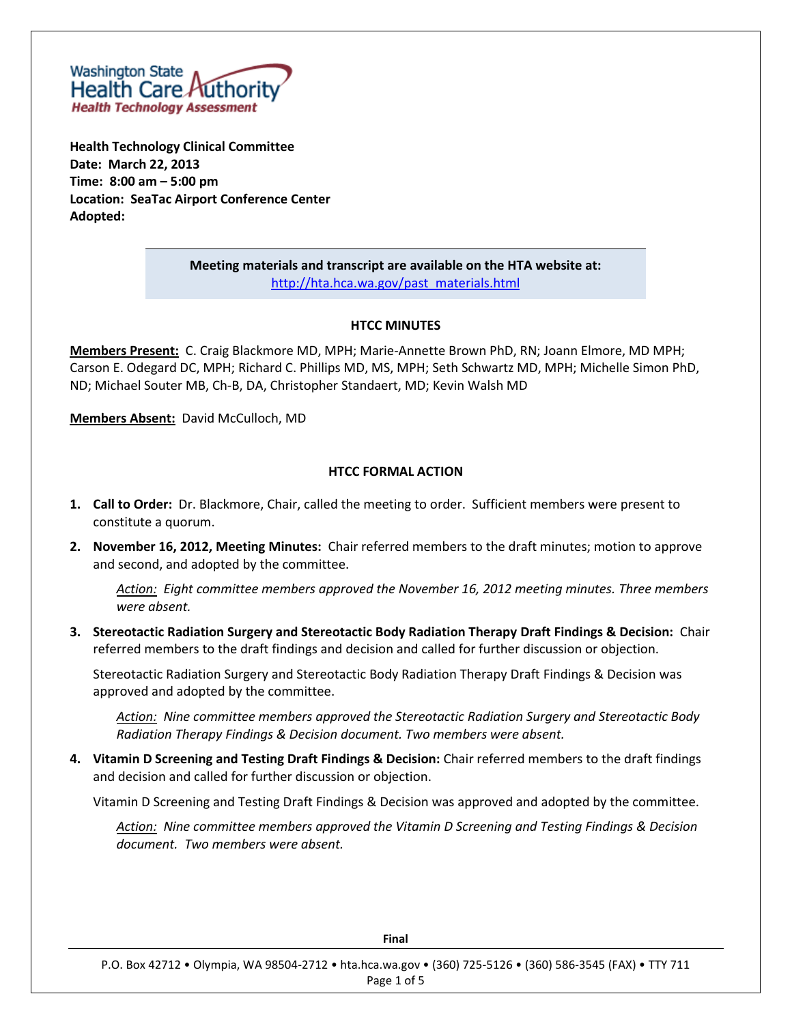

**Health Technology Clinical Committee Date: March 22, 2013 Time: 8:00 am – 5:00 pm Location: SeaTac Airport Conference Center Adopted:** 

> **Meeting materials and transcript are available on the HTA website at:** [http://hta.hca.wa.gov/past\\_materials.html](http://hta.hca.wa.gov/past_materials.html)

#### **HTCC MINUTES**

**Members Present:** C. Craig Blackmore MD, MPH; Marie-Annette Brown PhD, RN; Joann Elmore, MD MPH; Carson E. Odegard DC, MPH; Richard C. Phillips MD, MS, MPH; Seth Schwartz MD, MPH; Michelle Simon PhD, ND; Michael Souter MB, Ch-B, DA, Christopher Standaert, MD; Kevin Walsh MD

**Members Absent:** David McCulloch, MD

#### **HTCC FORMAL ACTION**

- **1. Call to Order:** Dr. Blackmore, Chair, called the meeting to order. Sufficient members were present to constitute a quorum.
- **2. November 16, 2012, Meeting Minutes:** Chair referred members to the draft minutes; motion to approve and second, and adopted by the committee.

*Action: Eight committee members approved the November 16, 2012 meeting minutes. Three members were absent.*

**3. Stereotactic Radiation Surgery and Stereotactic Body Radiation Therapy Draft Findings & Decision:** Chair referred members to the draft findings and decision and called for further discussion or objection.

Stereotactic Radiation Surgery and Stereotactic Body Radiation Therapy Draft Findings & Decision was approved and adopted by the committee.

*Action: Nine committee members approved the Stereotactic Radiation Surgery and Stereotactic Body Radiation Therapy Findings & Decision document. Two members were absent.*

**4. Vitamin D Screening and Testing Draft Findings & Decision:** Chair referred members to the draft findings and decision and called for further discussion or objection.

Vitamin D Screening and Testing Draft Findings & Decision was approved and adopted by the committee.

*Action: Nine committee members approved the Vitamin D Screening and Testing Findings & Decision document. Two members were absent.*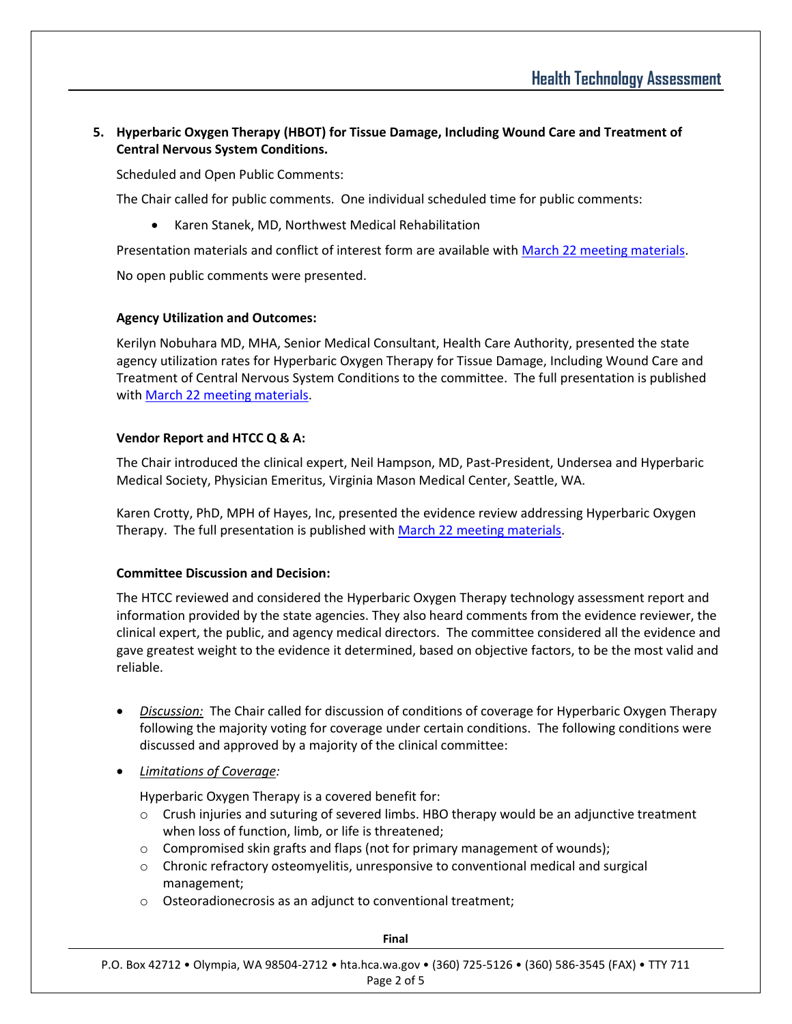# **5. Hyperbaric Oxygen Therapy (HBOT) for Tissue Damage, Including Wound Care and Treatment of Central Nervous System Conditions.**

Scheduled and Open Public Comments:

The Chair called for public comments. One individual scheduled time for public comments:

Karen Stanek, MD, Northwest Medical Rehabilitation

Presentation materials and conflict of interest form are available with [March 22 meeting materials.](http://www.hta.hca.wa.gov/past_materials.html)

No open public comments were presented.

# **Agency Utilization and Outcomes:**

Kerilyn Nobuhara MD, MHA, Senior Medical Consultant, Health Care Authority, presented the state agency utilization rates for Hyperbaric Oxygen Therapy for Tissue Damage, Including Wound Care and Treatment of Central Nervous System Conditions to the committee. The full presentation is published with [March 22 meeting materials.](http://www.hta.hca.wa.gov/past_materials.html)

# **Vendor Report and HTCC Q & A:**

The Chair introduced the clinical expert, Neil Hampson, MD, Past-President, Undersea and Hyperbaric Medical Society, Physician Emeritus, Virginia Mason Medical Center, Seattle, WA.

Karen Crotty, PhD, MPH of Hayes, Inc, presented the evidence review addressing Hyperbaric Oxygen Therapy. The full presentation is published wit[h March 22 meeting materials.](http://www.hta.hca.wa.gov/past_materials.html)

#### **Committee Discussion and Decision:**

The HTCC reviewed and considered the Hyperbaric Oxygen Therapy technology assessment report and information provided by the state agencies. They also heard comments from the evidence reviewer, the clinical expert, the public, and agency medical directors. The committee considered all the evidence and gave greatest weight to the evidence it determined, based on objective factors, to be the most valid and reliable.

- *Discussion:* The Chair called for discussion of conditions of coverage for Hyperbaric Oxygen Therapy following the majority voting for coverage under certain conditions. The following conditions were discussed and approved by a majority of the clinical committee:
- *Limitations of Coverage:*

Hyperbaric Oxygen Therapy is a covered benefit for:

- $\circ$  Crush injuries and suturing of severed limbs. HBO therapy would be an adjunctive treatment when loss of function, limb, or life is threatened;
- $\circ$  Compromised skin grafts and flaps (not for primary management of wounds);
- o Chronic refractory osteomyelitis, unresponsive to conventional medical and surgical management;
- o Osteoradionecrosis as an adjunct to conventional treatment;

| Final                                                                                                      |
|------------------------------------------------------------------------------------------------------------|
| P.O. Box 42712 . Olympia, WA 98504-2712 . hta.hca.wa.gov . (360) 725-5126 . (360) 586-3545 (FAX) . TTY 711 |
| Page 2 of 5                                                                                                |

**Final**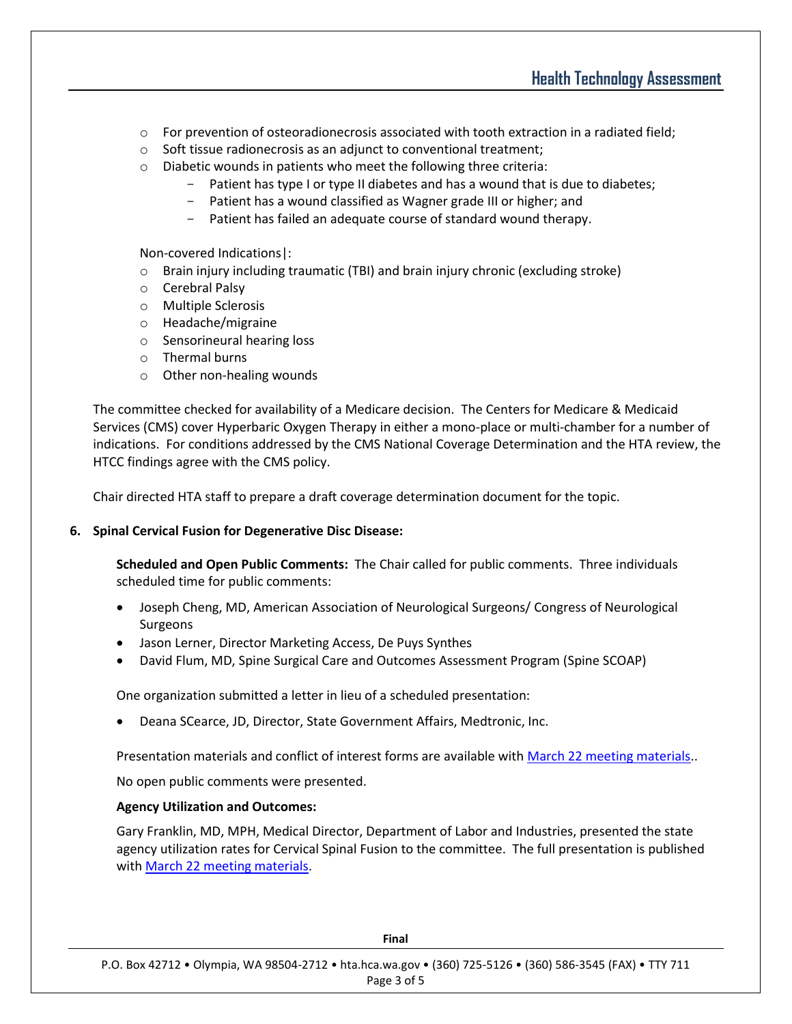- $\circ$  For prevention of osteoradionecrosis associated with tooth extraction in a radiated field;
- o Soft tissue radionecrosis as an adjunct to conventional treatment;
- o Diabetic wounds in patients who meet the following three criteria:
	- Patient has type I or type II diabetes and has a wound that is due to diabetes;
	- Patient has a wound classified as Wagner grade III or higher; and
	- Patient has failed an adequate course of standard wound therapy.

Non-covered Indications|:

- $\circ$  Brain injury including traumatic (TBI) and brain injury chronic (excluding stroke)
- o Cerebral Palsy
- o Multiple Sclerosis
- o Headache/migraine
- o Sensorineural hearing loss
- o Thermal burns
- o Other non-healing wounds

The committee checked for availability of a Medicare decision. The Centers for Medicare & Medicaid Services (CMS) cover Hyperbaric Oxygen Therapy in either a mono-place or multi-chamber for a number of indications. For conditions addressed by the CMS National Coverage Determination and the HTA review, the HTCC findings agree with the CMS policy.

Chair directed HTA staff to prepare a draft coverage determination document for the topic.

#### **6. Spinal Cervical Fusion for Degenerative Disc Disease:**

**Scheduled and Open Public Comments:** The Chair called for public comments. Three individuals scheduled time for public comments:

- Joseph Cheng, MD, American Association of Neurological Surgeons/ Congress of Neurological Surgeons
- Jason Lerner, Director Marketing Access, De Puys Synthes
- David Flum, MD, Spine Surgical Care and Outcomes Assessment Program (Spine SCOAP)

One organization submitted a letter in lieu of a scheduled presentation:

Deana SCearce, JD, Director, State Government Affairs, Medtronic, Inc.

Presentation materials and conflict of interest forms are available with [March 22 meeting materials.](http://www.hta.hca.wa.gov/past_materials.html).

No open public comments were presented.

#### **Agency Utilization and Outcomes:**

Gary Franklin, MD, MPH, Medical Director, Department of Labor and Industries, presented the state agency utilization rates for Cervical Spinal Fusion to the committee. The full presentation is published with [March 22 meeting materials.](http://www.hta.hca.wa.gov/past_materials.html)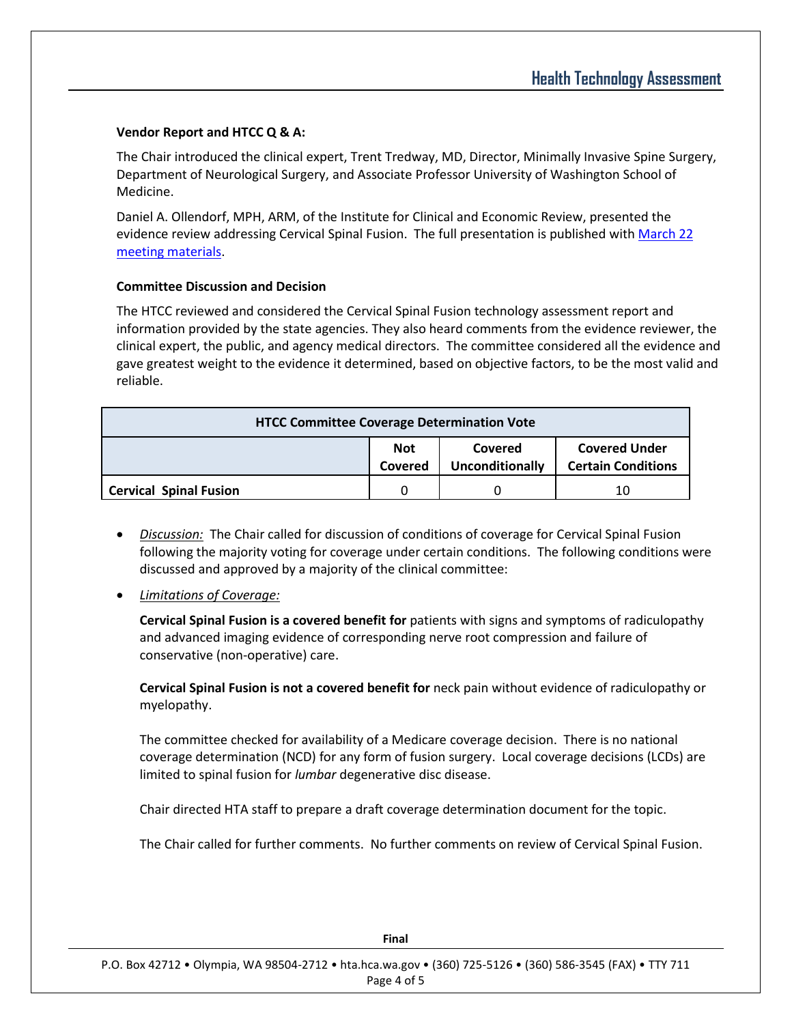### **Vendor Report and HTCC Q & A:**

The Chair introduced the clinical expert, Trent Tredway, MD, Director, Minimally Invasive Spine Surgery, Department of Neurological Surgery, and Associate Professor University of Washington School of Medicine.

Daniel A. Ollendorf, MPH, ARM, of the Institute for Clinical and Economic Review, presented the evidence review addressing Cervical Spinal Fusion. The full presentation is published with March 22 [meeting materials.](http://www.hta.hca.wa.gov/past_materials.html)

#### **Committee Discussion and Decision**

The HTCC reviewed and considered the Cervical Spinal Fusion technology assessment report and information provided by the state agencies. They also heard comments from the evidence reviewer, the clinical expert, the public, and agency medical directors. The committee considered all the evidence and gave greatest weight to the evidence it determined, based on objective factors, to be the most valid and reliable.

| <b>HTCC Committee Coverage Determination Vote</b> |                       |                            |                                                   |
|---------------------------------------------------|-----------------------|----------------------------|---------------------------------------------------|
|                                                   | <b>Not</b><br>Covered | Covered<br>Unconditionally | <b>Covered Under</b><br><b>Certain Conditions</b> |
| <b>Cervical Spinal Fusion</b>                     | 0                     |                            | 10                                                |

- *Discussion:* The Chair called for discussion of conditions of coverage for Cervical Spinal Fusion following the majority voting for coverage under certain conditions. The following conditions were discussed and approved by a majority of the clinical committee:
- *Limitations of Coverage:*

**Cervical Spinal Fusion is a covered benefit for** patients with signs and symptoms of radiculopathy and advanced imaging evidence of corresponding nerve root compression and failure of conservative (non-operative) care.

**Cervical Spinal Fusion is not a covered benefit for** neck pain without evidence of radiculopathy or myelopathy.

The committee checked for availability of a Medicare coverage decision. There is no national coverage determination (NCD) for any form of fusion surgery. Local coverage decisions (LCDs) are limited to spinal fusion for *lumbar* degenerative disc disease.

Chair directed HTA staff to prepare a draft coverage determination document for the topic.

The Chair called for further comments. No further comments on review of Cervical Spinal Fusion.

| .                                                                                                          |
|------------------------------------------------------------------------------------------------------------|
| P.O. Box 42712 . Olympia, WA 98504-2712 . hta.hca.wa.gov . (360) 725-5126 . (360) 586-3545 (FAX) . TTY 711 |
| Page 4 of 5                                                                                                |